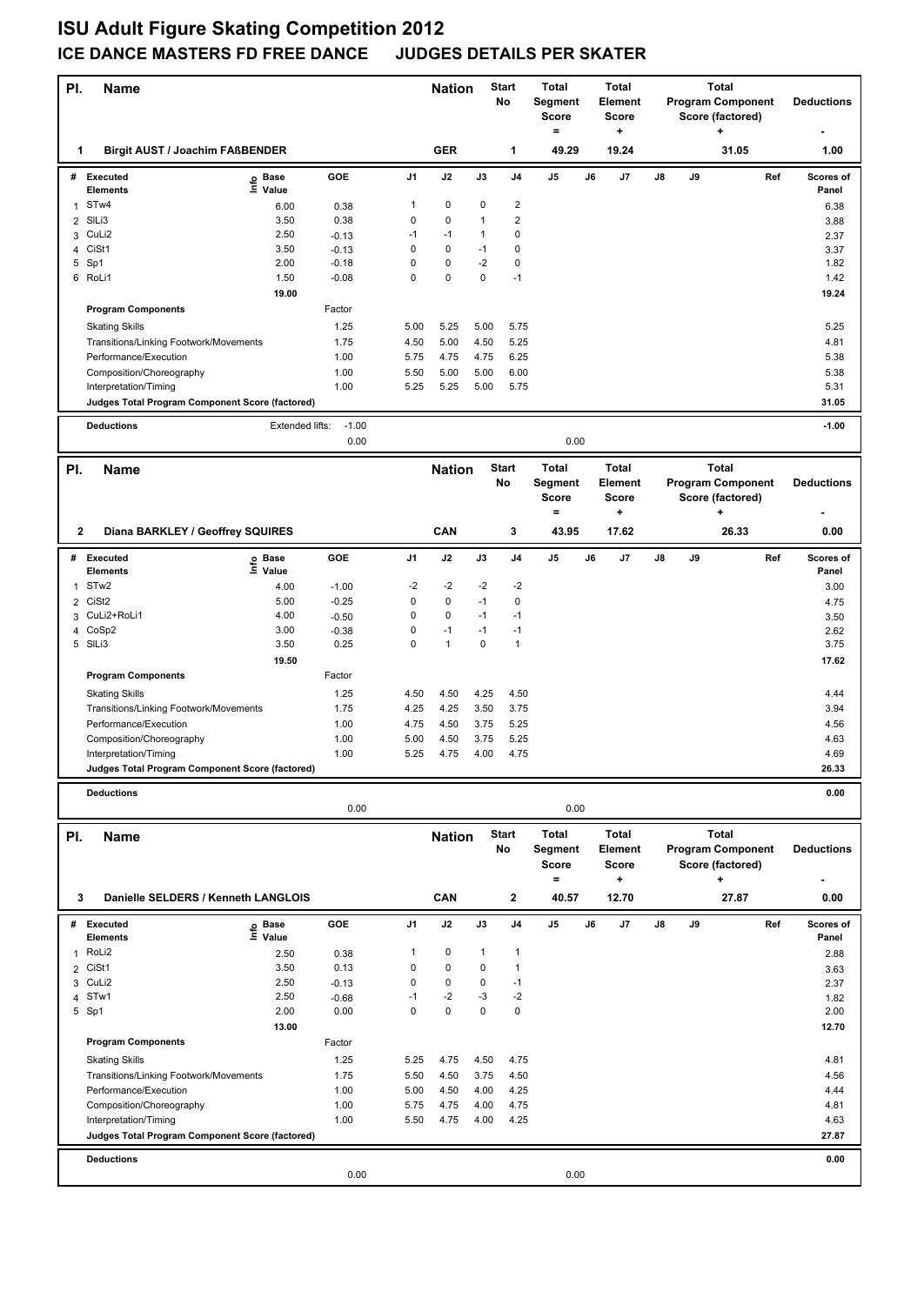## **ISU Adult Figure Skating Competition 2012 ICE DANCE MASTERS FD FREE DANCE**

| PI.            | <b>Name</b>                                                     |                   |                 | <b>Nation</b> |                   | <b>Start</b><br>No | <b>Total</b><br><b>Total</b><br>Element<br>Segment<br>Score<br><b>Score</b><br>$\equiv$<br>٠ |                         | <b>Total</b><br><b>Program Component</b><br>Score (factored)<br>÷ |                  |    | <b>Deductions</b> |                                              |                    |
|----------------|-----------------------------------------------------------------|-------------------|-----------------|---------------|-------------------|--------------------|----------------------------------------------------------------------------------------------|-------------------------|-------------------------------------------------------------------|------------------|----|-------------------|----------------------------------------------|--------------------|
| 1              | <b>Birgit AUST / Joachim FAßBENDER</b>                          |                   |                 |               | <b>GER</b>        |                    | 1                                                                                            | 49.29                   |                                                                   | 19.24            |    |                   | 31.05                                        | 1.00               |
|                | # Executed<br><b>Elements</b>                                   | e Base<br>⊆ Value | GOE             | J1            | J2                | J3                 | J4                                                                                           | J5                      | J6                                                                | J7               | J8 | J9                | Ref                                          | Scores of<br>Panel |
|                | ST <sub>w</sub> 4                                               | 6.00              | 0.38            | 1             | 0                 | 0                  | $\boldsymbol{2}$                                                                             |                         |                                                                   |                  |    |                   |                                              | 6.38               |
| 2              | SILi3                                                           | 3.50              | 0.38            | 0             | 0                 | $\mathbf{1}$       | $\overline{2}$                                                                               |                         |                                                                   |                  |    |                   |                                              | 3.88               |
| 3              | CuLi2                                                           | 2.50              | $-0.13$         | $-1$          | $-1$              | 1                  | 0                                                                                            |                         |                                                                   |                  |    |                   |                                              | 2.37               |
| $\overline{4}$ | CiSt1                                                           | 3.50              | $-0.13$         | 0             | 0                 | $-1$               | 0                                                                                            |                         |                                                                   |                  |    |                   |                                              | 3.37               |
|                | 5 Sp1                                                           | 2.00              | $-0.18$         | 0             | $\pmb{0}$         | $-2$               | $\mathbf 0$                                                                                  |                         |                                                                   |                  |    |                   |                                              | 1.82               |
|                | 6 RoLi1                                                         | 1.50              | $-0.08$         | 0             | $\pmb{0}$         | 0                  | $-1$                                                                                         |                         |                                                                   |                  |    |                   |                                              | 1.42               |
|                |                                                                 | 19.00             |                 |               |                   |                    |                                                                                              |                         |                                                                   |                  |    |                   |                                              | 19.24              |
|                | <b>Program Components</b>                                       |                   | Factor          |               |                   |                    |                                                                                              |                         |                                                                   |                  |    |                   |                                              |                    |
|                | <b>Skating Skills</b>                                           |                   | 1.25            | 5.00          | 5.25              | 5.00               | 5.75                                                                                         |                         |                                                                   |                  |    |                   |                                              | 5.25               |
|                | Transitions/Linking Footwork/Movements                          |                   | 1.75            | 4.50          | 5.00              | 4.50               | 5.25                                                                                         |                         |                                                                   |                  |    |                   |                                              | 4.81               |
|                | Performance/Execution                                           |                   | 1.00            | 5.75          | 4.75              | 4.75               | 6.25                                                                                         |                         |                                                                   |                  |    |                   |                                              | 5.38               |
|                | Composition/Choreography                                        |                   | 1.00            | 5.50          | 5.00              | 5.00               | 6.00                                                                                         |                         |                                                                   |                  |    |                   |                                              | 5.38               |
|                | Interpretation/Timing                                           |                   | 1.00            | 5.25          | 5.25              | 5.00               | 5.75                                                                                         |                         |                                                                   |                  |    |                   |                                              | 5.31               |
|                | Judges Total Program Component Score (factored)                 |                   |                 |               |                   |                    |                                                                                              |                         |                                                                   |                  |    |                   |                                              | 31.05              |
|                | <b>Deductions</b>                                               | Extended lifts:   | $-1.00$         |               |                   |                    |                                                                                              |                         |                                                                   |                  |    |                   |                                              | $-1.00$            |
|                |                                                                 |                   | 0.00            |               |                   |                    |                                                                                              | 0.00                    |                                                                   |                  |    |                   |                                              |                    |
| PI.            | <b>Name</b>                                                     |                   |                 |               | <b>Nation</b>     |                    | <b>Start</b>                                                                                 | <b>Total</b>            |                                                                   | <b>Total</b>     |    |                   | <b>Total</b>                                 |                    |
|                |                                                                 |                   |                 |               |                   |                    | No                                                                                           | Segment<br><b>Score</b> |                                                                   | Element<br>Score |    |                   | <b>Program Component</b><br>Score (factored) | <b>Deductions</b>  |
|                |                                                                 |                   |                 |               |                   |                    |                                                                                              | $\equiv$                |                                                                   | +                |    |                   | 4                                            |                    |
| $\mathbf{2}$   | Diana BARKLEY / Geoffrey SQUIRES                                |                   |                 |               | CAN               |                    | 3                                                                                            | 43.95                   |                                                                   | 17.62            |    |                   | 26.33                                        | 0.00               |
|                | # Executed                                                      | e Base<br>⊆ Value | GOE             | J1            | J2                | J3                 | J4                                                                                           | J5                      | J6                                                                | J7               | J8 | J9                | Ref                                          | Scores of          |
|                | <b>Elements</b>                                                 |                   |                 |               |                   |                    |                                                                                              |                         |                                                                   |                  |    |                   |                                              | Panel              |
| 1              | STw <sub>2</sub>                                                | 4.00              | $-1.00$         | -2            | -2                | $-2$               | $-2$                                                                                         |                         |                                                                   |                  |    |                   |                                              | 3.00               |
| $\overline{2}$ | CiSt <sub>2</sub>                                               | 5.00              | $-0.25$         | 0             | 0                 | $-1$               | $\mathbf 0$                                                                                  |                         |                                                                   |                  |    |                   |                                              | 4.75               |
|                | 3 CuLi2+RoLi1                                                   | 4.00<br>3.00      | $-0.50$         | 0<br>0        | $\pmb{0}$<br>$-1$ | $-1$<br>$-1$       | $-1$                                                                                         |                         |                                                                   |                  |    |                   |                                              | 3.50               |
| 4              | CoSp2<br>5 SILi3                                                | 3.50              | $-0.38$<br>0.25 | 0             | $\mathbf{1}$      | 0                  | $-1$<br>$\mathbf{1}$                                                                         |                         |                                                                   |                  |    |                   |                                              | 2.62<br>3.75       |
|                |                                                                 | 19.50             |                 |               |                   |                    |                                                                                              |                         |                                                                   |                  |    |                   |                                              | 17.62              |
|                | <b>Program Components</b>                                       |                   | Factor          |               |                   |                    |                                                                                              |                         |                                                                   |                  |    |                   |                                              |                    |
|                |                                                                 |                   |                 |               |                   |                    |                                                                                              |                         |                                                                   |                  |    |                   |                                              |                    |
|                | <b>Skating Skills</b>                                           |                   | 1.25            | 4.50          | 4.50              | 4.25               | 4.50                                                                                         |                         |                                                                   |                  |    |                   |                                              | 4.44               |
|                | Transitions/Linking Footwork/Movements<br>Performance/Execution |                   | 1.75<br>1.00    | 4.25<br>4.75  | 4.25<br>4.50      | 3.50<br>3.75       | 3.75<br>5.25                                                                                 |                         |                                                                   |                  |    |                   |                                              | 3.94<br>4.56       |
|                | Composition/Choreography                                        |                   | 1.00            | 5.00          | 4.50              | 3.75               | 5.25                                                                                         |                         |                                                                   |                  |    |                   |                                              | 4.63               |
|                | Interpretation/Timing                                           |                   | 1.00            | 5.25          | 4.75              | 4.00               | 4.75                                                                                         |                         |                                                                   |                  |    |                   |                                              | 4.69               |
|                | Judges Total Program Component Score (factored)                 |                   |                 |               |                   |                    |                                                                                              |                         |                                                                   |                  |    |                   |                                              | 26.33              |
|                |                                                                 |                   |                 |               |                   |                    |                                                                                              |                         |                                                                   |                  |    |                   |                                              |                    |
|                | <b>Deductions</b>                                               |                   | 0.00            |               |                   |                    |                                                                                              | 0.00                    |                                                                   |                  |    |                   |                                              | 0.00               |
| PI.            | <b>Name</b>                                                     |                   |                 |               | <b>Nation</b>     |                    | <b>Start</b>                                                                                 | <b>Total</b>            |                                                                   | <b>Total</b>     |    |                   | <b>Total</b>                                 |                    |
|                |                                                                 |                   |                 |               |                   |                    | No                                                                                           | Segment                 |                                                                   | Element          |    |                   | <b>Program Component</b>                     | <b>Deductions</b>  |
|                |                                                                 |                   |                 |               |                   |                    |                                                                                              | Score                   |                                                                   | Score            |    |                   | Score (factored)                             |                    |
|                |                                                                 |                   |                 |               |                   |                    |                                                                                              | $\qquad \qquad =$       |                                                                   | ٠                |    |                   | ٠                                            |                    |
| 3              | Danielle SELDERS / Kenneth LANGLOIS                             |                   |                 |               | CAN               |                    | $\mathbf{2}$                                                                                 | 40.57                   |                                                                   | 12.70            |    |                   | 27.87                                        | 0.00               |
|                | # Executed                                                      | e Base<br>⊆ Value | <b>GOE</b>      | J1            | J2                | J3                 | J4                                                                                           | J5                      | J6                                                                | J7               | J8 | J9                | Ref                                          | Scores of          |
|                | <b>Elements</b>                                                 |                   |                 |               |                   |                    |                                                                                              |                         |                                                                   |                  |    |                   |                                              | Panel              |
| 1              | RoLi2                                                           | 2.50              | 0.38            | 1             | 0                 | 1                  | 1                                                                                            |                         |                                                                   |                  |    |                   |                                              | 2.88               |
| $\overline{2}$ | CiSt1                                                           | 3.50              | 0.13            | 0             | 0                 | 0                  | $\mathbf{1}$                                                                                 |                         |                                                                   |                  |    |                   |                                              | 3.63               |
| 3              | CuLi2                                                           | 2.50              | $-0.13$         | 0<br>$-1$     | 0<br>-2           | 0<br>-3            | $-1$<br>$-2$                                                                                 |                         |                                                                   |                  |    |                   |                                              | 2.37               |
| $\overline{4}$ | STw1<br>5 Sp1                                                   | 2.50<br>2.00      | $-0.68$<br>0.00 | 0             | $\pmb{0}$         | 0                  | $\mathbf 0$                                                                                  |                         |                                                                   |                  |    |                   |                                              | 1.82<br>2.00       |
|                |                                                                 | 13.00             |                 |               |                   |                    |                                                                                              |                         |                                                                   |                  |    |                   |                                              | 12.70              |
|                | <b>Program Components</b>                                       |                   | Factor          |               |                   |                    |                                                                                              |                         |                                                                   |                  |    |                   |                                              |                    |
|                |                                                                 |                   |                 |               |                   |                    |                                                                                              |                         |                                                                   |                  |    |                   |                                              |                    |
|                | <b>Skating Skills</b>                                           |                   | 1.25            | 5.25          | 4.75              | 4.50               | 4.75                                                                                         |                         |                                                                   |                  |    |                   |                                              | 4.81               |
|                | Transitions/Linking Footwork/Movements                          |                   | 1.75            | 5.50          | 4.50              | 3.75               | 4.50                                                                                         |                         |                                                                   |                  |    |                   |                                              | 4.56               |
|                | Performance/Execution<br>Composition/Choreography               |                   | 1.00<br>1.00    | 5.00<br>5.75  | 4.50<br>4.75      | 4.00<br>4.00       | 4.25<br>4.75                                                                                 |                         |                                                                   |                  |    |                   |                                              | 4.44<br>4.81       |
|                | Interpretation/Timing                                           |                   | 1.00            | 5.50          | 4.75              | 4.00               | 4.25                                                                                         |                         |                                                                   |                  |    |                   |                                              | 4.63               |
|                | Judges Total Program Component Score (factored)                 |                   |                 |               |                   |                    |                                                                                              |                         |                                                                   |                  |    |                   |                                              | 27.87              |
|                |                                                                 |                   |                 |               |                   |                    |                                                                                              |                         |                                                                   |                  |    |                   |                                              |                    |
|                | <b>Deductions</b>                                               |                   |                 |               |                   |                    |                                                                                              |                         |                                                                   |                  |    |                   |                                              | 0.00               |
|                |                                                                 |                   | 0.00            |               |                   |                    |                                                                                              | 0.00                    |                                                                   |                  |    |                   |                                              |                    |